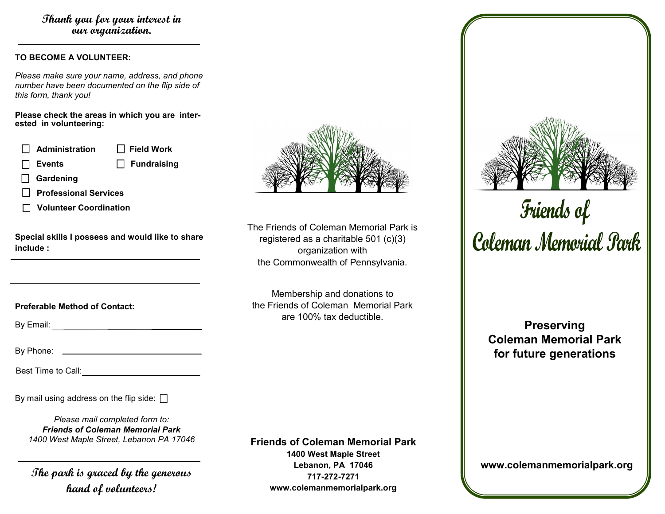## **Thank you for your interest in our organization.**

### **TO BECOME A VOLUNTEER:**

*Please make sure your name, address, and phone number have been documented on the flip side of this form, thank you!* 

**Please check the areas in which you are interested in volunteering:**

| $\Box$ Administration         | $\Box$ Field Work  |
|-------------------------------|--------------------|
| $\Box$ Events                 | $\Box$ Fundraising |
| $\Box$ Gardening              |                    |
| □ Professional Services       |                    |
| <b>Volunteer Coordination</b> |                    |

**Special skills I possess and would like to share include :**

**Preferable Method of Contact:** 

By Email: **Example 2018** 

By Phone:

Best Time to Call:

By mail using address on the flip side:  $\Box$ 

*Please mail completed form to: Friends of Coleman Memorial Park 1400 West Maple Street, Lebanon PA 17046*

**The park is graced by the generous hand of volunteers!**



The Friends of Coleman Memorial Park is registered as a charitable 501 (c)(3) organization with the Commonwealth of Pennsylvania.

Membership and donations to the Friends of Coleman Memorial Park are 100% tax deductible.

**Friends of Coleman Memorial Park 1400 West Maple Street Lebanon, PA 17046 717-272-7271 www.colemanmemorialpark.org**



Friends of<br>Coleman Memorial Park

**Preserving Coleman Memorial Park for future generations**

**www.colemanmemorialpark.org**